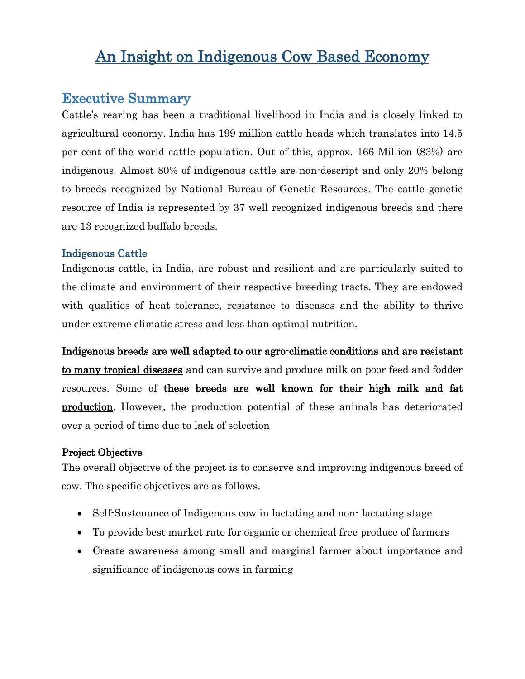# An Insight on Indigenous Cow Based Economy

## Executive Summary

Cattle's rearing has been a traditional livelihood in India and is closely linked to agricultural economy. India has 199 million cattle heads which translates into 14.5 per cent of the world cattle population. Out of this, approx. 166 Million (83%) are indigenous. Almost 80% of indigenous cattle are non-descript and only 20% belong to breeds recognized by National Bureau of Genetic Resources. The cattle genetic resource of India is represented by 37 well recognized indigenous breeds and there are 13 recognized buffalo breeds.

#### Indigenous Cattle

Indigenous cattle, in India, are robust and resilient and are particularly suited to the climate and environment of their respective breeding tracts. They are endowed with qualities of heat tolerance, resistance to diseases and the ability to thrive under extreme climatic stress and less than optimal nutrition.

Indigenous breeds are well adapted to our agro-climatic conditions and are resistant to many tropical diseases and can survive and produce milk on poor feed and fodder resources. Some of these breeds are well known for their high milk and fat production. However, the production potential of these animals has deteriorated over a period of time due to lack of selection

#### Project Objective

The overall objective of the project is to conserve and improving indigenous breed of cow. The specific objectives are as follows.

- Self-Sustenance of Indigenous cow in lactating and non-lactating stage
- To provide best market rate for organic or chemical free produce of farmers
- Create awareness among small and marginal farmer about importance and significance of indigenous cows in farming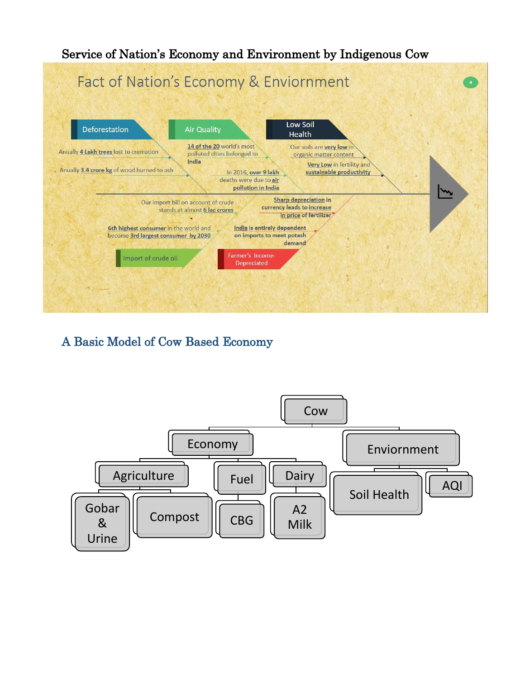

A Basic Model of Cow Based Economy

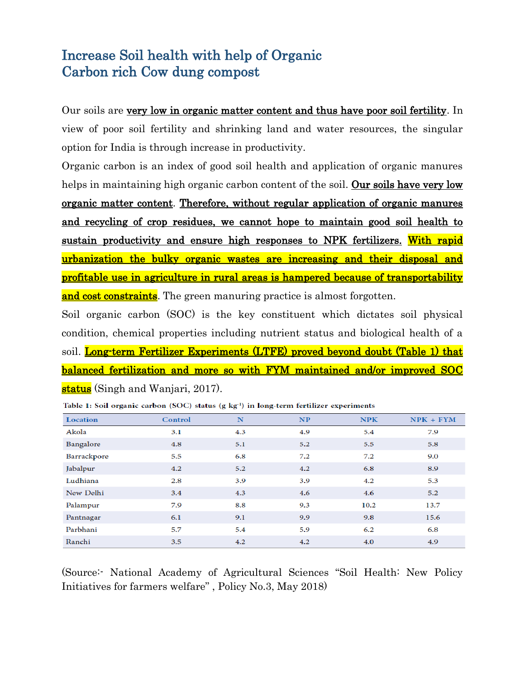# Increase Soil health with help of Organic Carbon rich Cow dung compost

Our soils are very low in organic matter content and thus have poor soil fertility. In view of poor soil fertility and shrinking land and water resources, the singular option for India is through increase in productivity.

Organic carbon is an index of good soil health and application of organic manures helps in maintaining high organic carbon content of the soil. Our soils have very low organic matter content. Therefore, without regular application of organic manures and recycling of crop residues, we cannot hope to maintain good soil health to sustain productivity and ensure high responses to NPK fertilizers. With rapid urbanization the bulky organic wastes are increasing and their disposal and profitable use in agriculture in rural areas is hampered because of transportability and cost constraints. The green manuring practice is almost forgotten.

Soil organic carbon (SOC) is the key constituent which dictates soil physical condition, chemical properties including nutrient status and biological health of a soil. Long-term Fertilizer Experiments (LTFE) proved beyond doubt (Table 1) that balanced fertilization and more so with FYM maintained and/or improved SOC status (Singh and Wanjari, 2017).

| Location    | Control | N   | NP  | <b>NPK</b> | $NPK + FYM$ |
|-------------|---------|-----|-----|------------|-------------|
| Akola       | 3.1     | 4.3 | 4.9 | 5.4        | 7.9         |
| Bangalore   | 4.8     | 5.1 | 5.2 | 5.5        | 5.8         |
| Barrackpore | 5.5     | 6.8 | 7.2 | 7.2        | 9.0         |
| Jabalpur    | 4.2     | 5.2 | 4.2 | 6.8        | 8.9         |
| Ludhiana    | 2.8     | 3.9 | 3.9 | 4.2        | 5.3         |
| New Delhi   | 3.4     | 4.3 | 4.6 | 4.6        | 5.2         |
| Palampur    | 7.9     | 8.8 | 9.3 | 10.2       | 13.7        |
| Pantnagar   | 6.1     | 9.1 | 9.9 | 9.8        | 15.6        |
| Parbhani    | 5.7     | 5.4 | 5.9 | 6.2        | 6.8         |
| Ranchi      | 3.5     | 4.2 | 4.2 | 4.0        | 4.9         |

Table 1: Soil organic carbon (SOC) status (g kg<sup>-1</sup>) in long-term fertilizer experiments

(Source:- National Academy of Agricultural Sciences "Soil Health: New Policy Initiatives for farmers welfare" , Policy No.3, May 2018)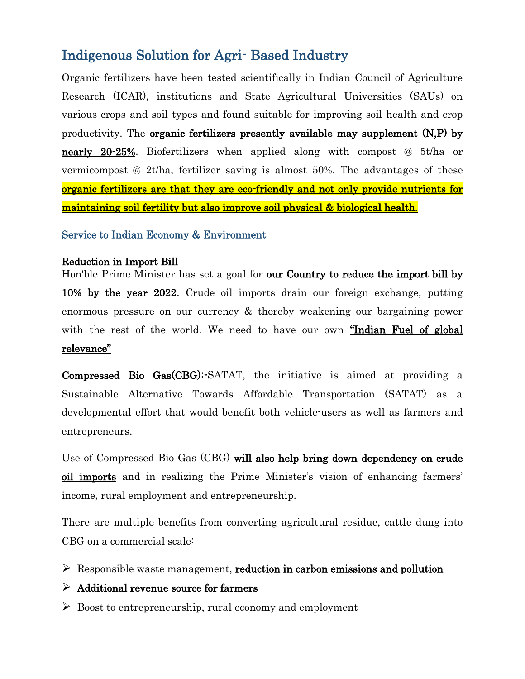# Indigenous Solution for Agri- Based Industry

Organic fertilizers have been tested scientifically in Indian Council of Agriculture Research (ICAR), institutions and State Agricultural Universities (SAUs) on various crops and soil types and found suitable for improving soil health and crop productivity. The organic fertilizers presently available may supplement (N,P) by nearly 20-25%. Biofertilizers when applied along with compost @ 5t/ha or vermicompost @ 2t/ha, fertilizer saving is almost 50%. The advantages of these organic fertilizers are that they are eco-friendly and not only provide nutrients for maintaining soil fertility but also improve soil physical & biological health.

Service to Indian Economy & Environment

#### Reduction in Import Bill

Hon'ble Prime Minister has set a goal for our Country to reduce the import bill by 10% by the year 2022. Crude oil imports drain our foreign exchange, putting enormous pressure on our currency & thereby weakening our bargaining power with the rest of the world. We need to have our own "Indian Fuel of global relevance"

Compressed Bio Gas(CBG):-SATAT, the initiative is aimed at providing a Sustainable Alternative Towards Affordable Transportation (SATAT) as a developmental effort that would benefit both vehicle-users as well as farmers and entrepreneurs.

Use of Compressed Bio Gas (CBG) will also help bring down dependency on crude oil imports and in realizing the Prime Minister's vision of enhancing farmers' income, rural employment and entrepreneurship.

There are multiple benefits from converting agricultural residue, cattle dung into CBG on a commercial scale:

 $\triangleright$  Responsible waste management, reduction in carbon emissions and pollution

#### $\triangleright$  Additional revenue source for farmers

 $\triangleright$  Boost to entrepreneurship, rural economy and employment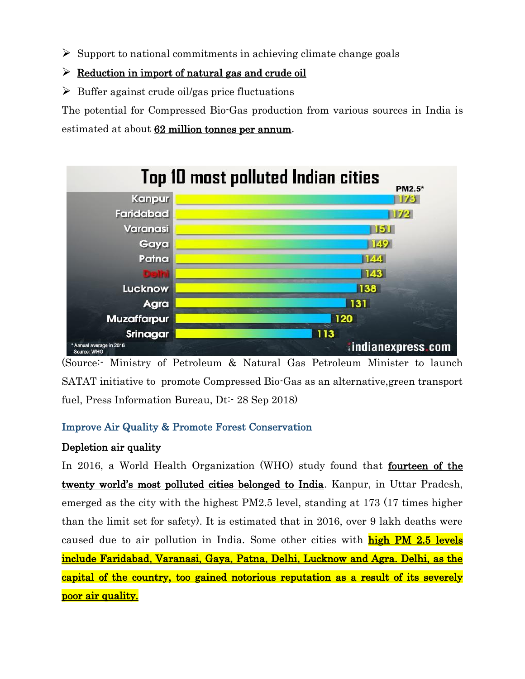$\triangleright$  Support to national commitments in achieving climate change goals

### $\triangleright$  Reduction in import of natural gas and crude oil

 $\triangleright$  Buffer against crude oil/gas price fluctuations

The potential for Compressed Bio-Gas production from various sources in India is estimated at about 62 million tonnes per annum.



(Source:- Ministry of Petroleum & Natural Gas Petroleum Minister to launch SATAT initiative to promote Compressed Bio-Gas as an alternative,green transport fuel, Press Information Bureau, Dt:- 28 Sep 2018)

## Improve Air Quality & Promote Forest Conservation

## Depletion air quality

In 2016, a World Health Organization (WHO) study found that fourteen of the twenty world's most polluted cities belonged to India. Kanpur, in Uttar Pradesh, emerged as the city with the highest PM2.5 level, standing at 173 (17 times higher than the limit set for safety). It is estimated that in 2016, over 9 lakh deaths were caused due to air pollution in India. Some other cities with **high PM 2.5 levels** include Faridabad, Varanasi, Gaya, Patna, Delhi, Lucknow and Agra. Delhi, as the capital of the country, too gained notorious reputation as a result of its severely poor air quality.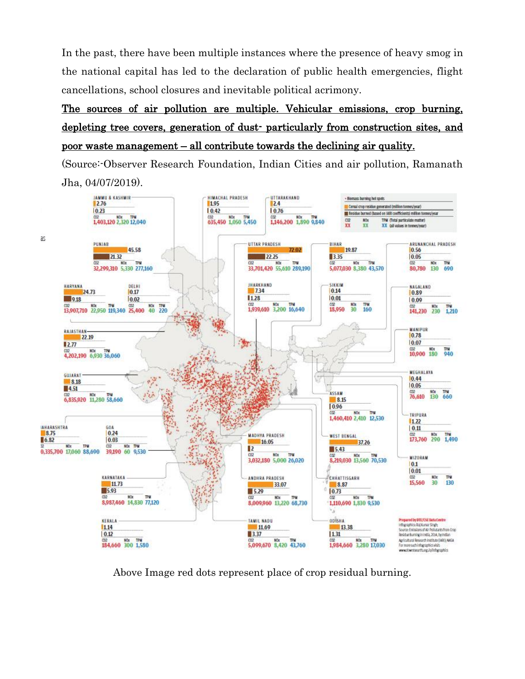In the past, there have been multiple instances where the presence of heavy smog in the national capital has led to the declaration of public health emergencies, flight cancellations, school closures and inevitable political acrimony.

## The sources of air pollution are multiple. Vehicular emissions, crop burning, depleting tree covers, generation of dust- particularly from construction sites, and poor waste management – all contribute towards the declining air quality.

(Source:-Observer Research Foundation, Indian Cities and air pollution, Ramanath Jha, 04/07/2019).



Above Image red dots represent place of crop residual burning.

as.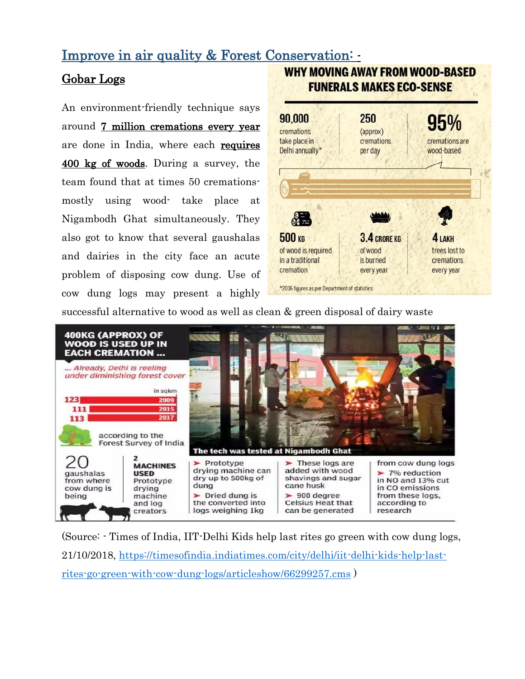## Improve in air quality & Forest Conservation: -

## Gobar Logs

An environment-friendly technique says around 7 million cremations every year are done in India, where each requires 400 kg of woods. During a survey, the team found that at times 50 cremationsmostly using wood- take place at Nigambodh Ghat simultaneously. They also got to know that several gaushalas and dairies in the city face an acute problem of disposing cow dung. Use of cow dung logs may present a highly



**WHY MOVING AWAY FROM WOOD-BASED** 

successful alternative to wood as well as clean & green disposal of dairy waste



(Source: - Times of India, IIT-Delhi Kids help last rites go green with cow dung logs, 21/10/2018, [https://timesofindia.indiatimes.com/city/delhi/iit-delhi-kids-help-last](https://timesofindia.indiatimes.com/city/delhi/iit-delhi-kids-help-last-rites-go-green-with-cow-dung-logs/articleshow/66299257.cms)[rites-go-green-with-cow-dung-logs/articleshow/66299257.cms](https://timesofindia.indiatimes.com/city/delhi/iit-delhi-kids-help-last-rites-go-green-with-cow-dung-logs/articleshow/66299257.cms) )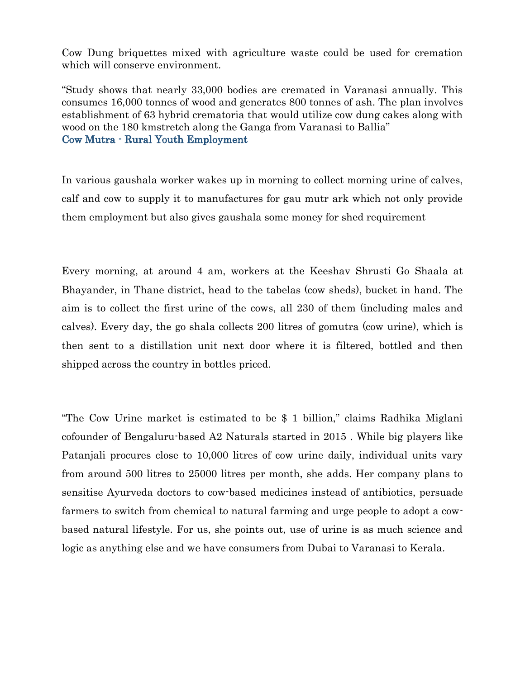Cow Dung briquettes mixed with agriculture waste could be used for cremation which will conserve environment.

"Study shows that nearly 33,000 bodies are cremated in Varanasi annually. This consumes 16,000 tonnes of wood and generates 800 tonnes of ash. The plan involves establishment of 63 hybrid crematoria that would utilize cow dung cakes along with wood on the 180 kmstretch along the Ganga from Varanasi to Ballia" Cow Mutra - Rural Youth Employment

In various gaushala worker wakes up in morning to collect morning urine of calves, calf and cow to supply it to manufactures for gau mutr ark which not only provide them employment but also gives gaushala some money for shed requirement

Every morning, at around 4 am, workers at the Keeshav Shrusti Go Shaala at Bhayander, in Thane district, head to the tabelas (cow sheds), bucket in hand. The aim is to collect the first urine of the cows, all 230 of them (including males and calves). Every day, the go shala collects 200 litres of gomutra (cow urine), which is then sent to a distillation unit next door where it is filtered, bottled and then shipped across the country in bottles priced.

"The Cow Urine market is estimated to be \$ 1 billion," claims Radhika Miglani cofounder of Bengaluru-based A2 Naturals started in 2015 . While big players like Patanjali procures close to 10,000 litres of cow urine daily, individual units vary from around 500 litres to 25000 litres per month, she adds. Her company plans to sensitise Ayurveda doctors to cow-based medicines instead of antibiotics, persuade farmers to switch from chemical to natural farming and urge people to adopt a cowbased natural lifestyle. For us, she points out, use of urine is as much science and logic as anything else and we have consumers from Dubai to Varanasi to Kerala.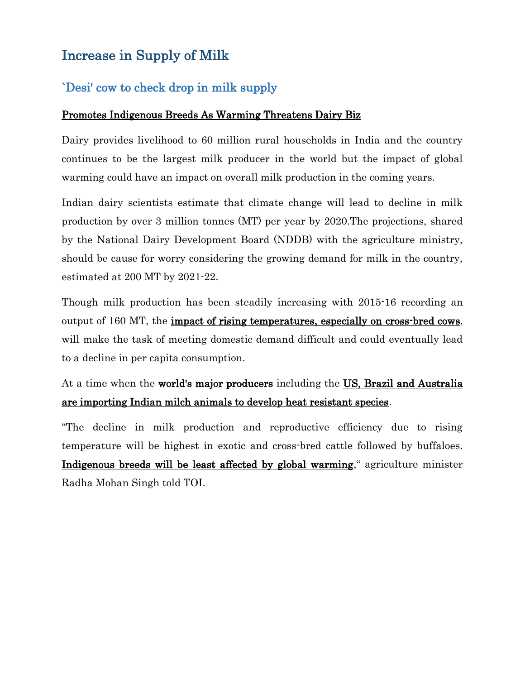# Increase in Supply of Milk

## `Desi' cow to check drop in milk supply

#### Promotes Indigenous Breeds As Warming Threatens Dairy Biz

Dairy provides livelihood to 60 million rural households in India and the country continues to be the largest milk producer in the world but the impact of global warming could have an impact on overall milk production in the coming years.

Indian dairy scientists estimate that climate change will lead to decline in milk production by over 3 million tonnes (MT) per year by 2020.The projections, shared by the National Dairy Development Board (NDDB) with the agriculture ministry, should be cause for worry considering the growing demand for milk in the country, estimated at 200 MT by 2021-22.

Though milk production has been steadily increasing with 2015-16 recording an output of 160 MT, the impact of rising temperatures, especially on cross-bred cows, will make the task of meeting domestic demand difficult and could eventually lead to a decline in per capita consumption.

## At a time when the world's major producers including the US, Brazil and Australia are importing Indian milch animals to develop heat resistant species.

"The decline in milk production and reproductive efficiency due to rising temperature will be highest in exotic and cross-bred cattle followed by buffaloes. Indigenous breeds will be least affected by global warming," agriculture minister Radha Mohan Singh told TOI.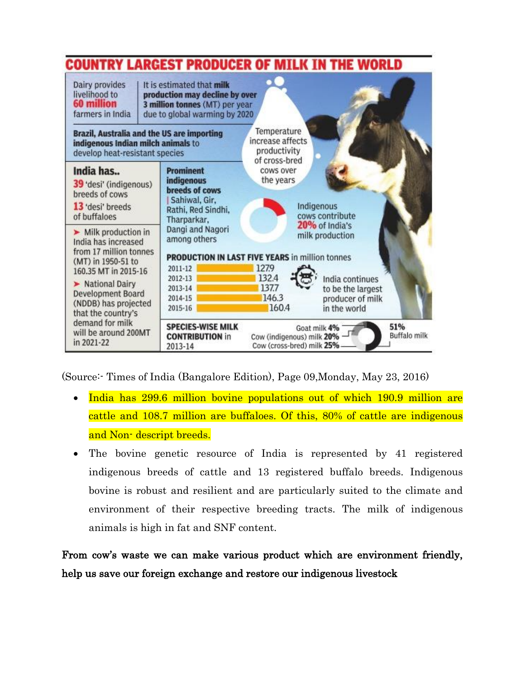

(Source:- Times of India (Bangalore Edition), Page 09,Monday, May 23, 2016)

- India has 299.6 million bovine populations out of which 190.9 million are cattle and 108.7 million are buffaloes. Of this, 80% of cattle are indigenous and Non-descript breeds.
- The bovine genetic resource of India is represented by 41 registered indigenous breeds of cattle and 13 registered buffalo breeds. Indigenous bovine is robust and resilient and are particularly suited to the climate and environment of their respective breeding tracts. The milk of indigenous animals is high in fat and SNF content.

From cow's waste we can make various product which are environment friendly, help us save our foreign exchange and restore our indigenous livestock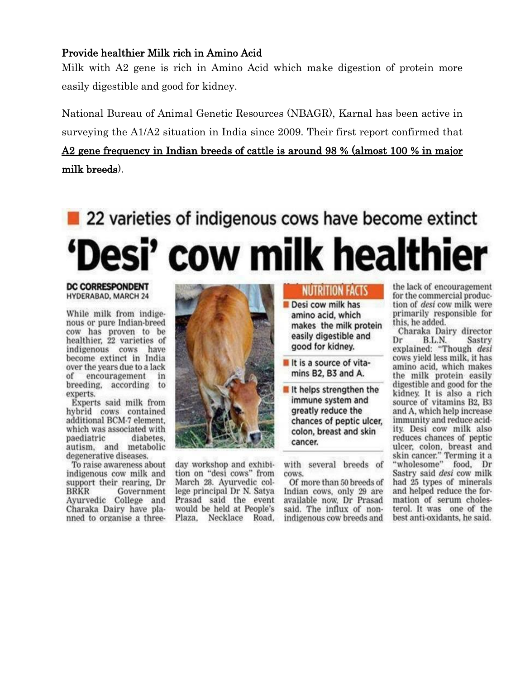#### Provide healthier Milk rich in Amino Acid

Milk with A2 gene is rich in Amino Acid which make digestion of protein more easily digestible and good for kidney.

National Bureau of Animal Genetic Resources (NBAGR), Karnal has been active in surveying the A1/A2 situation in India since 2009. Their first report confirmed that A2 gene frequency in Indian breeds of cattle is around 98 % (almost 100 % in major milk breeds).

# 22 varieties of indigenous cows have become extinct Desi' cow milk healthier

#### **DC CORRESPONDENT HYDERABAD, MARCH 24**

While milk from indigenous or pure Indian-breed cow has proven to be<br>healthier, 22 varieties of indigenous cows have become extinct in India over the years due to a lack of encouragement in breeding, according to experts.

Experts said milk from hybrid cows contained additional BCM-7 element, which was associated with paediatric diabetes. autism, and metabolic degenerative diseases.

To raise awareness about indigenous cow milk and support their rearing. Dr BRKR Government Ayurvedic College and Charaka Dairy have planned to organise a three-



day workshop and exhibition on "desi cows" from March 28. Ayurvedic college principal Dr N. Satya Prasad said the event would be held at People's Plaza, Necklace Road,

## **NUTRITION FACTS**

Desi cow milk has amino acid, which makes the milk protein easily digestible and good for kidney.

- It is a source of vitamins B2, B3 and A.
- It helps strengthen the immune system and greatly reduce the chances of peptic ulcer. colon, breast and skin cancer.

with several breeds of cows.

Of more than 50 breeds of Indian cows, only 29 are available now, Dr Prasad said. The influx of nonindigenous cow breeds and the lack of encouragement for the commercial production of desi cow milk were primarily responsible for this, he added.

Charaka Dairy director B.L.N. Dr Sastry explained: "Though desi cows vield less milk, it has amino acid, which makes the milk protein easily digestible and good for the kidney. It is also a rich source of vitamins B2, B3 and A, which help increase immunity and reduce acidity. Desi cow milk also reduces chances of peptic ulcer, colon, breast and skin cancer." Terming it a<br>"wholesome" food, Dr Sastry said desi cow milk had 25 types of minerals and helped reduce the formation of serum cholesterol. It was one of the best anti-oxidants, he said.